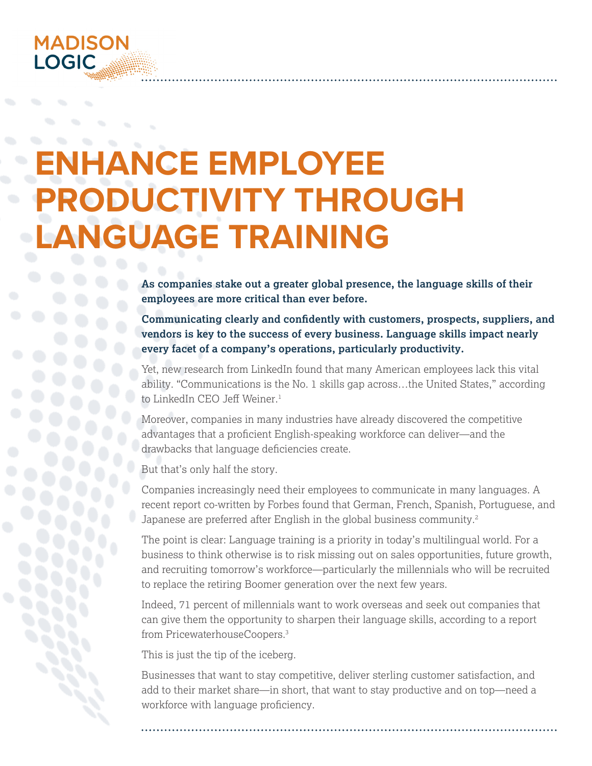# **ENHANCE EMPLOYEE PRODUCTIVITY THROUGH LANGUAGE TRAINING**

**As companies stake out a greater global presence, the language skills of their employees are more critical than ever before.** 

**Communicating clearly and confidently with customers, prospects, suppliers, and vendors is key to the success of every business. Language skills impact nearly every facet of a company's operations, particularly productivity.**

Yet, new research from LinkedIn found that many American employees lack this vital ability. "Communications is the No. 1 skills gap across…the United States," according to LinkedIn CEO Jeff Weiner.<sup>1</sup>

Moreover, companies in many industries have already discovered the competitive advantages that a proficient English-speaking workforce can deliver—and the drawbacks that language deficiencies create.

But that's only half the story.

Companies increasingly need their employees to communicate in many languages. A recent report co-written by Forbes found that German, French, Spanish, Portuguese, and Japanese are preferred after English in the global business community.<sup>2</sup>

The point is clear: Language training is a priority in today's multilingual world. For a business to think otherwise is to risk missing out on sales opportunities, future growth, and recruiting tomorrow's workforce—particularly the millennials who will be recruited to replace the retiring Boomer generation over the next few years.

Indeed, 71 percent of millennials want to work overseas and seek out companies that can give them the opportunity to sharpen their language skills, according to a report from PricewaterhouseCoopers.<sup>3</sup>

This is just the tip of the iceberg.

Businesses that want to stay competitive, deliver sterling customer satisfaction, and add to their market share—in short, that want to stay productive and on top—need a workforce with language proficiency.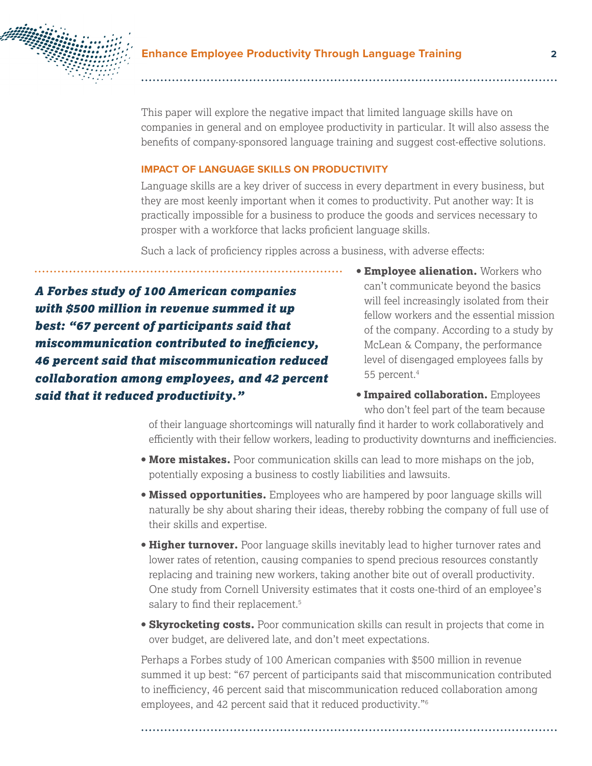

This paper will explore the negative impact that limited language skills have on companies in general and on employee productivity in particular. It will also assess the benefits of company-sponsored language training and suggest cost-effective solutions.

#### **IMPACT OF LANGUAGE SKILLS ON PRODUCTIVITY**

Language skills are a key driver of success in every department in every business, but they are most keenly important when it comes to productivity. Put another way: It is practically impossible for a business to produce the goods and services necessary to prosper with a workforce that lacks proficient language skills.

Such a lack of proficiency ripples across a business, with adverse effects:

*A Forbes study of 100 American companies with \$500 million in revenue summed it up best: "67 percent of participants said that miscommunication contributed to inefficiency, 46 percent said that miscommunication reduced collaboration among employees, and 42 percent said that it reduced productivity."*

- **Employee alienation.** Workers who can't communicate beyond the basics will feel increasingly isolated from their fellow workers and the essential mission of the company. According to a study by McLean & Company, the performance level of disengaged employees falls by 55 percent.4
- **Impaired collaboration.** Employees who don't feel part of the team because

of their language shortcomings will naturally find it harder to work collaboratively and efficiently with their fellow workers, leading to productivity downturns and inefficiencies.

- **More mistakes.** Poor communication skills can lead to more mishaps on the job, potentially exposing a business to costly liabilities and lawsuits.
- **Missed opportunities.** Employees who are hampered by poor language skills will naturally be shy about sharing their ideas, thereby robbing the company of full use of their skills and expertise.
- **Higher turnover.** Poor language skills inevitably lead to higher turnover rates and lower rates of retention, causing companies to spend precious resources constantly replacing and training new workers, taking another bite out of overall productivity. One study from Cornell University estimates that it costs one-third of an employee's salary to find their replacement.<sup>5</sup>
- **Skyrocketing costs.** Poor communication skills can result in projects that come in over budget, are delivered late, and don't meet expectations.

Perhaps a Forbes study of 100 American companies with \$500 million in revenue summed it up best: "67 percent of participants said that miscommunication contributed to inefficiency, 46 percent said that miscommunication reduced collaboration among employees, and 42 percent said that it reduced productivity."6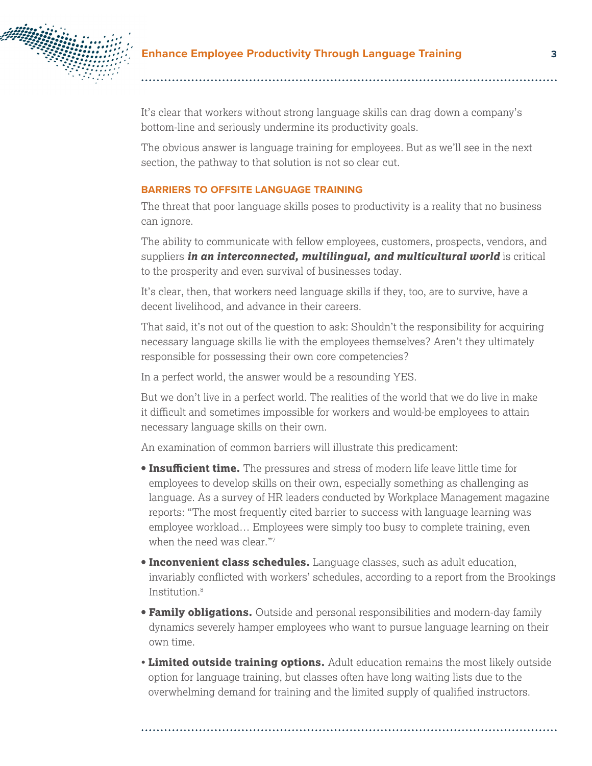

It's clear that workers without strong language skills can drag down a company's bottom-line and seriously undermine its productivity goals.

The obvious answer is language training for employees. But as we'll see in the next section, the pathway to that solution is not so clear cut.

#### **BARRIERS TO OFFSITE LANGUAGE TRAINING**

The threat that poor language skills poses to productivity is a reality that no business can ignore.

The ability to communicate with fellow employees, customers, prospects, vendors, and suppliers *in an interconnected, multilingual, and multicultural world* is critical to the prosperity and even survival of businesses today.

It's clear, then, that workers need language skills if they, too, are to survive, have a decent livelihood, and advance in their careers.

That said, it's not out of the question to ask: Shouldn't the responsibility for acquiring necessary language skills lie with the employees themselves? Aren't they ultimately responsible for possessing their own core competencies?

In a perfect world, the answer would be a resounding YES.

But we don't live in a perfect world. The realities of the world that we do live in make it difficult and sometimes impossible for workers and would-be employees to attain necessary language skills on their own.

An examination of common barriers will illustrate this predicament:

- **Insufficient time.** The pressures and stress of modern life leave little time for employees to develop skills on their own, especially something as challenging as language. As a survey of HR leaders conducted by Workplace Management magazine reports: "The most frequently cited barrier to success with language learning was employee workload… Employees were simply too busy to complete training, even when the need was clear."7
- **Inconvenient class schedules.** Language classes, such as adult education, invariably conflicted with workers' schedules, according to a report from the Brookings Institution.8
- **Family obligations.** Outside and personal responsibilities and modern-day family dynamics severely hamper employees who want to pursue language learning on their own time.
- **Limited outside training options.** Adult education remains the most likely outside option for language training, but classes often have long waiting lists due to the overwhelming demand for training and the limited supply of qualified instructors.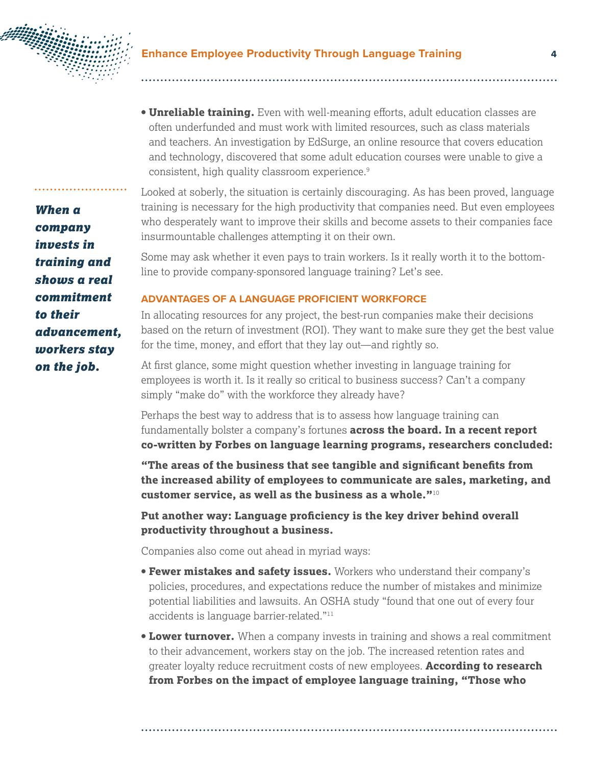

**• Unreliable training.** Even with well-meaning efforts, adult education classes are often underfunded and must work with limited resources, such as class materials and teachers. An investigation by EdSurge, an online resource that covers education and technology, discovered that some adult education courses were unable to give a consistent, high quality classroom experience.9

Looked at soberly, the situation is certainly discouraging. As has been proved, language training is necessary for the high productivity that companies need. But even employees who desperately want to improve their skills and become assets to their companies face insurmountable challenges attempting it on their own.

Some may ask whether it even pays to train workers. Is it really worth it to the bottomline to provide company-sponsored language training? Let's see.

#### **ADVANTAGES OF A LANGUAGE PROFICIENT WORKFORCE**

In allocating resources for any project, the best-run companies make their decisions based on the return of investment (ROI). They want to make sure they get the best value for the time, money, and effort that they lay out—and rightly so.

At first glance, some might question whether investing in language training for employees is worth it. Is it really so critical to business success? Can't a company simply "make do" with the workforce they already have?

Perhaps the best way to address that is to assess how language training can fundamentally bolster a company's fortunes **across the board. In a recent report co-written by Forbes on language learning programs, researchers concluded:**

**"The areas of the business that see tangible and significant benefits from the increased ability of employees to communicate are sales, marketing, and customer service, as well as the business as a whole."**<sup>10</sup>

**Put another way: Language proficiency is the key driver behind overall productivity throughout a business.** 

Companies also come out ahead in myriad ways:

- **Fewer mistakes and safety issues.** Workers who understand their company's policies, procedures, and expectations reduce the number of mistakes and minimize potential liabilities and lawsuits. An OSHA study "found that one out of every four accidents is language barrier-related."<sup>11</sup>
- **Lower turnover.** When a company invests in training and shows a real commitment to their advancement, workers stay on the job. The increased retention rates and greater loyalty reduce recruitment costs of new employees. **According to research from Forbes on the impact of employee language training, "Those who**

*When a company invests in training and shows a real commitment to their advancement, workers stay on the job.*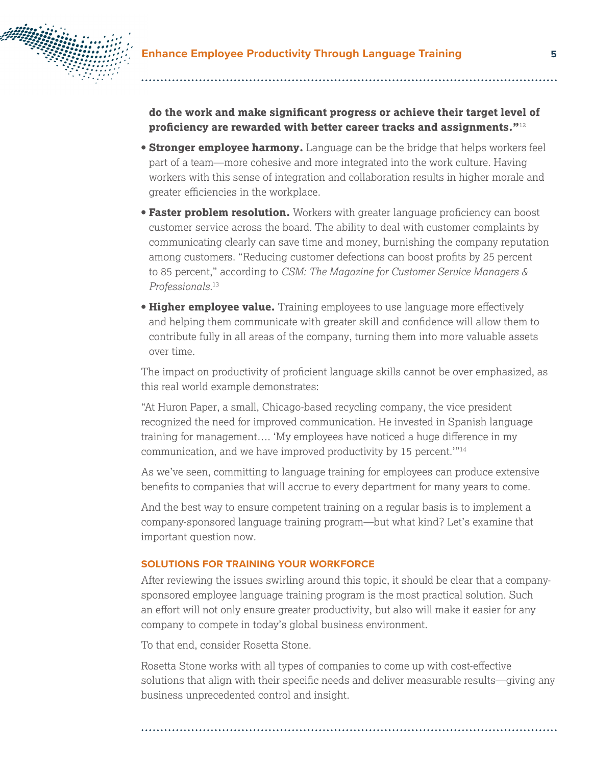

**do the work and make significant progress or achieve their target level of proficiency are rewarded with better career tracks and assignments."**<sup>12</sup>

- **Stronger employee harmony.** Language can be the bridge that helps workers feel part of a team—more cohesive and more integrated into the work culture. Having workers with this sense of integration and collaboration results in higher morale and greater efficiencies in the workplace.
- **Faster problem resolution.** Workers with greater language proficiency can boost customer service across the board. The ability to deal with customer complaints by communicating clearly can save time and money, burnishing the company reputation among customers. "Reducing customer defections can boost profits by 25 percent to 85 percent," according to *CSM: The Magazine for Customer Service Managers & Professionals.*<sup>13</sup>
- **Higher employee value.** Training employees to use language more effectively and helping them communicate with greater skill and confidence will allow them to contribute fully in all areas of the company, turning them into more valuable assets over time.

The impact on productivity of proficient language skills cannot be over emphasized, as this real world example demonstrates:

"At Huron Paper, a small, Chicago-based recycling company, the vice president recognized the need for improved communication. He invested in Spanish language training for management…. 'My employees have noticed a huge difference in my communication, and we have improved productivity by 15 percent.'"14

As we've seen, committing to language training for employees can produce extensive benefits to companies that will accrue to every department for many years to come.

And the best way to ensure competent training on a regular basis is to implement a company-sponsored language training program—but what kind? Let's examine that important question now.

#### **SOLUTIONS FOR TRAINING YOUR WORKFORCE**

After reviewing the issues swirling around this topic, it should be clear that a companysponsored employee language training program is the most practical solution. Such an effort will not only ensure greater productivity, but also will make it easier for any company to compete in today's global business environment.

To that end, consider Rosetta Stone.

Rosetta Stone works with all types of companies to come up with cost-effective solutions that align with their specific needs and deliver measurable results—giving any business unprecedented control and insight.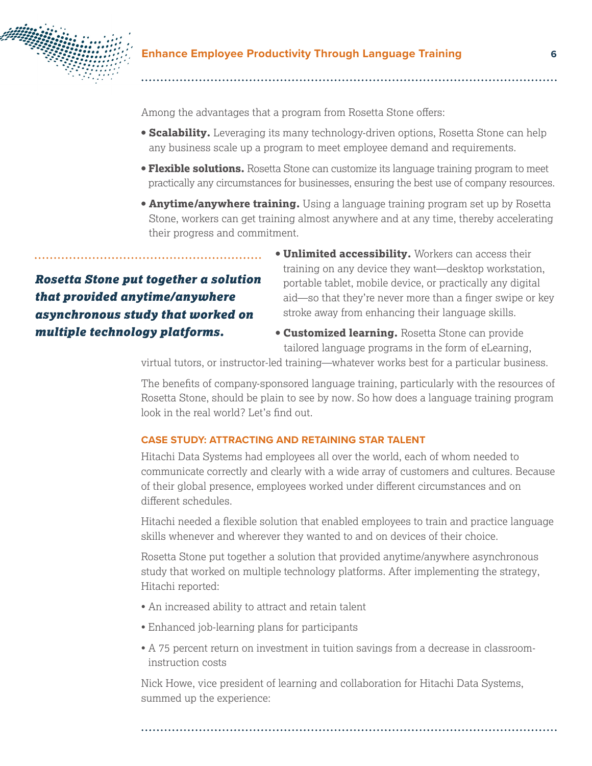

Among the advantages that a program from Rosetta Stone offers:

. . . . . . . . . . . . . . . . . .

- **Scalability.** Leveraging its many technology-driven options, Rosetta Stone can help any business scale up a program to meet employee demand and requirements.
- **Flexible solutions.** Rosetta Stone can customize its language training program to meet practically any circumstances for businesses, ensuring the best use of company resources.
- **Anytime/anywhere training.** Using a language training program set up by Rosetta Stone, workers can get training almost anywhere and at any time, thereby accelerating their progress and commitment.

# *Rosetta Stone put together a solution that provided anytime/anywhere asynchronous study that worked on multiple technology platforms.*

- **Unlimited accessibility.** Workers can access their training on any device they want—desktop workstation, portable tablet, mobile device, or practically any digital aid—so that they're never more than a finger swipe or key stroke away from enhancing their language skills.
- **Customized learning.** Rosetta Stone can provide tailored language programs in the form of eLearning,

virtual tutors, or instructor-led training—whatever works best for a particular business.

The benefits of company-sponsored language training, particularly with the resources of Rosetta Stone, should be plain to see by now. So how does a language training program look in the real world? Let's find out.

#### **CASE STUDY: ATTRACTING AND RETAINING STAR TALENT**

Hitachi Data Systems had employees all over the world, each of whom needed to communicate correctly and clearly with a wide array of customers and cultures. Because of their global presence, employees worked under different circumstances and on different schedules.

Hitachi needed a flexible solution that enabled employees to train and practice language skills whenever and wherever they wanted to and on devices of their choice.

Rosetta Stone put together a solution that provided anytime/anywhere asynchronous study that worked on multiple technology platforms. After implementing the strategy, Hitachi reported:

- An increased ability to attract and retain talent
- Enhanced job-learning plans for participants
- A 75 percent return on investment in tuition savings from a decrease in classroominstruction costs

Nick Howe, vice president of learning and collaboration for Hitachi Data Systems, summed up the experience: